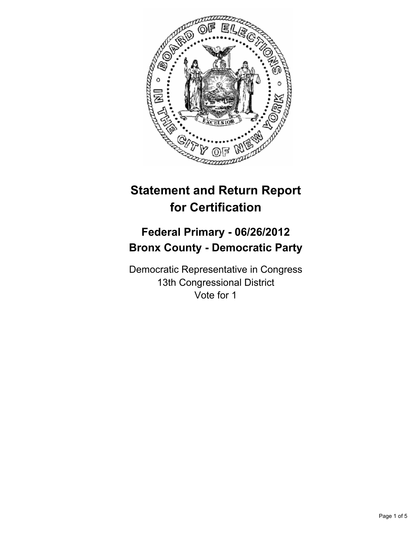

# **Statement and Return Report for Certification**

# **Federal Primary - 06/26/2012 Bronx County - Democratic Party**

Democratic Representative in Congress 13th Congressional District Vote for 1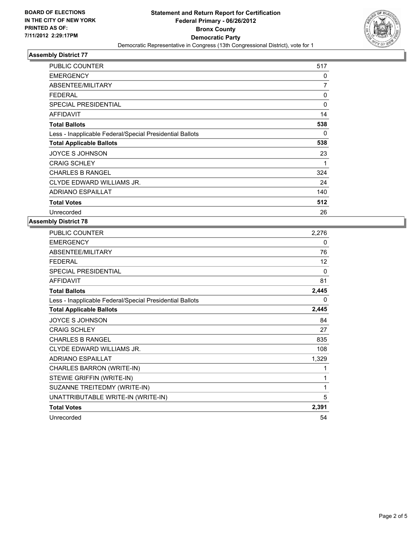

# **Assembly District 77**

| <b>PUBLIC COUNTER</b>                                    | 517          |
|----------------------------------------------------------|--------------|
| <b>EMERGENCY</b>                                         | 0            |
| ABSENTEE/MILITARY                                        | 7            |
| <b>FEDERAL</b>                                           | 0            |
| <b>SPECIAL PRESIDENTIAL</b>                              | $\mathbf{0}$ |
| <b>AFFIDAVIT</b>                                         | 14           |
| <b>Total Ballots</b>                                     | 538          |
| Less - Inapplicable Federal/Special Presidential Ballots | 0            |
| <b>Total Applicable Ballots</b>                          | 538          |
| <b>JOYCE S JOHNSON</b>                                   | 23           |
| <b>CRAIG SCHLEY</b>                                      | 1            |
| <b>CHARLES B RANGEL</b>                                  | 324          |
| CLYDE EDWARD WILLIAMS JR.                                | 24           |
| <b>ADRIANO ESPAILLAT</b>                                 | 140          |
| <b>Total Votes</b>                                       | 512          |
| Unrecorded                                               | 26           |

#### **Assembly District 78**

| 2,276 |
|-------|
| 0     |
| 76    |
| 12    |
| 0     |
| 81    |
| 2,445 |
| 0     |
| 2,445 |
| 84    |
| 27    |
| 835   |
| 108   |
| 1,329 |
| 1     |
| 1     |
| 1     |
| 5     |
| 2,391 |
| 54    |
|       |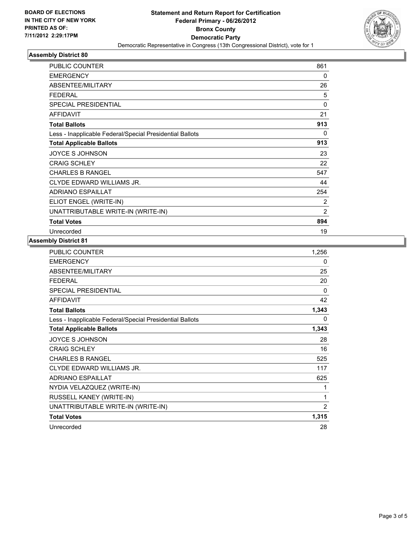

## **Assembly District 80**

| <b>PUBLIC COUNTER</b>                                    | 861            |
|----------------------------------------------------------|----------------|
| <b>EMERGENCY</b>                                         | 0              |
| ABSENTEE/MILITARY                                        | 26             |
| <b>FEDERAL</b>                                           | 5              |
| <b>SPECIAL PRESIDENTIAL</b>                              | 0              |
| <b>AFFIDAVIT</b>                                         | 21             |
| <b>Total Ballots</b>                                     | 913            |
| Less - Inapplicable Federal/Special Presidential Ballots | 0              |
| <b>Total Applicable Ballots</b>                          | 913            |
| JOYCE S JOHNSON                                          | 23             |
| <b>CRAIG SCHLEY</b>                                      | 22             |
| <b>CHARLES B RANGEL</b>                                  | 547            |
| CLYDE EDWARD WILLIAMS JR.                                | 44             |
| <b>ADRIANO ESPAILLAT</b>                                 | 254            |
| ELIOT ENGEL (WRITE-IN)                                   | 2              |
| UNATTRIBUTABLE WRITE-IN (WRITE-IN)                       | $\overline{2}$ |
| <b>Total Votes</b>                                       | 894            |
| Unrecorded                                               | 19             |

#### **Assembly District 81**

| PUBLIC COUNTER                                           | 1,256 |
|----------------------------------------------------------|-------|
| <b>EMERGENCY</b>                                         | 0     |
| ABSENTEE/MILITARY                                        | 25    |
| <b>FEDERAL</b>                                           | 20    |
| SPECIAL PRESIDENTIAL                                     | 0     |
| <b>AFFIDAVIT</b>                                         | 42    |
| <b>Total Ballots</b>                                     | 1,343 |
| Less - Inapplicable Federal/Special Presidential Ballots | 0     |
| <b>Total Applicable Ballots</b>                          | 1,343 |
| JOYCE S JOHNSON                                          | 28    |
| <b>CRAIG SCHLEY</b>                                      | 16    |
| <b>CHARLES B RANGEL</b>                                  | 525   |
| CLYDE EDWARD WILLIAMS JR.                                | 117   |
| <b>ADRIANO ESPAILLAT</b>                                 | 625   |
| NYDIA VELAZQUEZ (WRITE-IN)                               | 1     |
| RUSSELL KANEY (WRITE-IN)                                 | 1     |
| UNATTRIBUTABLE WRITE-IN (WRITE-IN)                       | 2     |
| <b>Total Votes</b>                                       | 1,315 |
| Unrecorded                                               | 28    |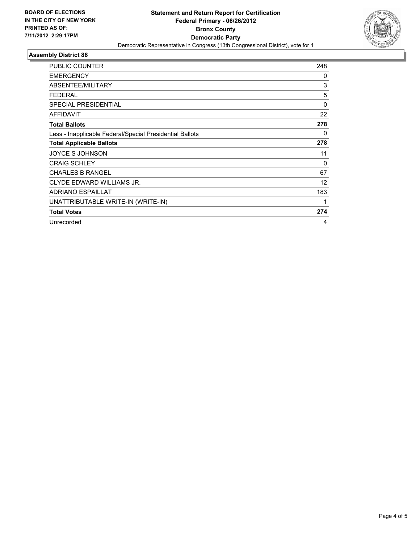

## **Assembly District 86**

| <b>PUBLIC COUNTER</b>                                    | 248      |
|----------------------------------------------------------|----------|
|                                                          |          |
| <b>EMERGENCY</b>                                         | 0        |
| ABSENTEE/MILITARY                                        | 3        |
| <b>FEDERAL</b>                                           | 5        |
| <b>SPECIAL PRESIDENTIAL</b>                              | $\Omega$ |
| <b>AFFIDAVIT</b>                                         | 22       |
| <b>Total Ballots</b>                                     | 278      |
| Less - Inapplicable Federal/Special Presidential Ballots | 0        |
| <b>Total Applicable Ballots</b>                          | 278      |
| JOYCE S JOHNSON                                          | 11       |
| <b>CRAIG SCHLEY</b>                                      | 0        |
| <b>CHARLES B RANGEL</b>                                  | 67       |
| CLYDE EDWARD WILLIAMS JR.                                | 12       |
| <b>ADRIANO ESPAILLAT</b>                                 | 183      |
| UNATTRIBUTABLE WRITE-IN (WRITE-IN)                       | 1        |
| <b>Total Votes</b>                                       | 274      |
| Unrecorded                                               | 4        |